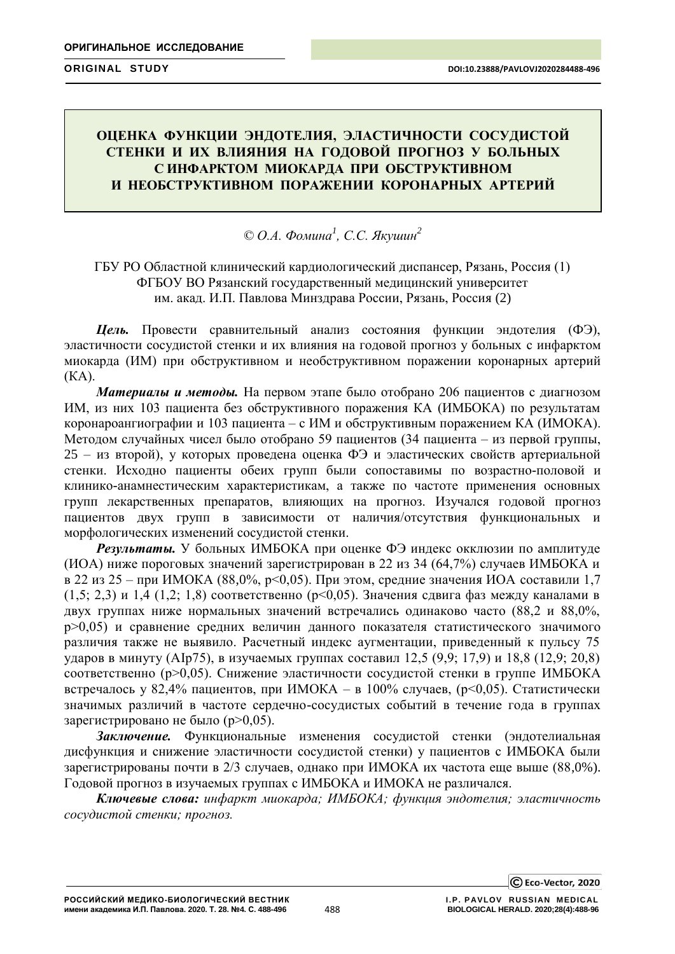# **ОЦЕНКА ФУНКЦИИ ЭНДОТЕЛИЯ, ЭЛАСТИЧНОСТИ СОСУДИСТОЙ СТЕНКИ И ИХ ВЛИЯНИЯ НА ГОДОВОЙ ПРОГНОЗ У БОЛЬНЫХ**  С ИНФАРКТОМ МИОКАРДА ПРИ ОБСТРУКТИВНОМ И НЕОБСТРУКТИВНОМ **ПОРАЖЕНИИ КОРОНАРНЫХ АРТЕРИЙ**

# *© О.А. Фомина<sup>1</sup> , С.С. Якушин<sup>2</sup>*

ГБУ РО Областной клинический кардиологический диспансер, Рязань, Россия (1) ФГБОУ ВО Рязанский государственный медицинский университет им. акад. И.П. Павлова Минздрава России, Рязань, Россия (2)

*Цель.* Провести сравнительный анализ состояния функции эндотелия (ФЭ), эластичности сосудистой стенки и их влияния на годовой прогноз у больных с инфарктом миокарда (ИМ) при обструктивном и необструктивном поражении коронарных артерий (КА).

*Материалы и методы.* На первом этапе было отобрано 206 пациентов с диагнозом ИМ, из них 103 пациента без обструктивного поражения КА (ИМБОКА) по результатам коронароангиографии и 103 пациента – с ИМ и обструктивным поражением КА (ИМОКА). Методом случайных чисел было отобрано 59 пациентов (34 пациента – из первой группы, 25 – из второй), у которых проведена оценка ФЭ и эластических свойств артериальной стенки. Исходно пациенты обеих групп были сопоставимы по возрастно-половой и клинико-анамнестическим характеристикам, а также по частоте применения основных групп лекарственных препаратов, влияющих на прогноз. Изучался годовой прогноз пациентов двух групп в зависимости от наличия/отсутствия функциональных и морфологических изменений сосудистой стенки.

*Результаты.* У больных ИМБОКА при оценке ФЭ индекс окклюзии по амплитуде (ИОА) ниже пороговых значений зарегистрирован в 22 из 34 (64,7%) случаев ИМБОКА и в 22 из 25 – при ИМОКА (88,0%, р<0,05). При этом, средние значения ИОА составили 1,7 (1,5; 2,3) и 1,4 (1,2; 1,8) соответственно ( $p$ <0,05). Значения сдвига фаз между каналами в двух группах ниже нормальных значений встречались одинаково часто (88,2 и 88,0%, р>0,05) и сравнение средних величин данного показателя статистического значимого различия также не выявило. Расчетный индекс аугментации, приведенный к пульсу 75 ударов в минуту (AIp75), в изучаемых группах составил 12,5 (9,9; 17,9) и 18,8 (12,9; 20,8) соответственно (р>0,05). Снижение эластичности сосудистой стенки в группе ИМБОКА встречалось у 82,4% пациентов, при ИМОКА – в 100% случаев, (р<0,05). Статистически значимых различий в частоте сердечно-сосудистых событий в течение года в группах зарегистрировано не было (р>0,05).

*Заключение.* Функциональные изменения сосудистой стенки (эндотелиальная дисфункция и снижение эластичности сосудистой стенки) у пациентов с ИМБОКА были зарегистрированы почти в 2/3 случаев, однако при ИМОКА их частота еще выше (88,0%). Годовой прогноз в изучаемых группах с ИМБОКА и ИМОКА не различался.

*Ключевые слова: инфаркт миокарда; ИМБОКА; функция эндотелия; эластичность сосудистой стенки; прогноз.*

C Eco-Vector, 2020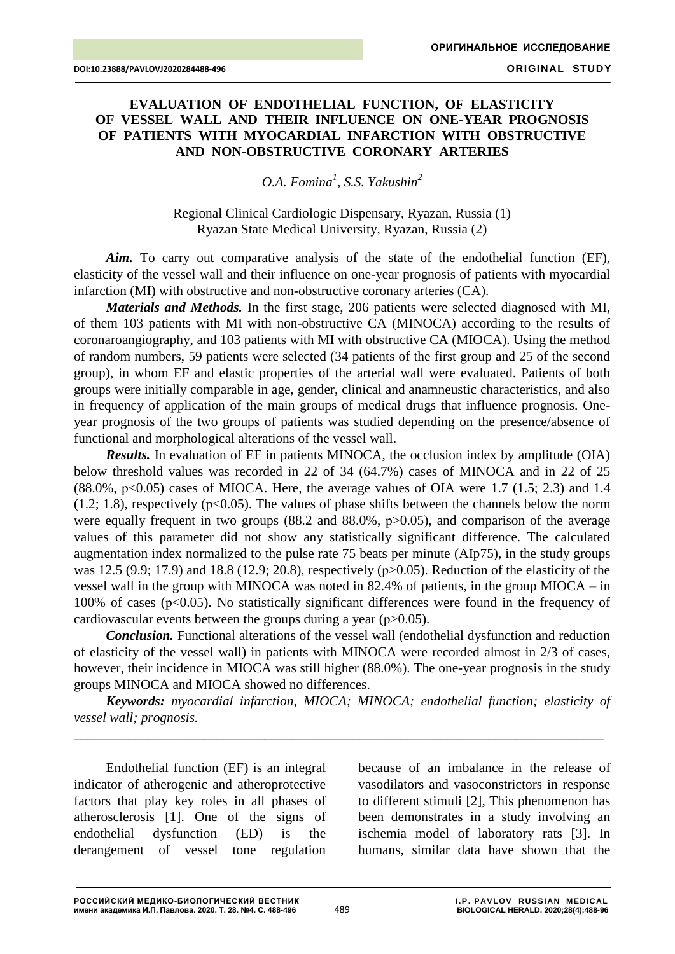## **EVALUATION OF ENDOTHELIAL FUNCTION, OF ELASTICITY OF VESSEL WALL AND THEIR INFLUENCE ON ONE-YEAR PROGNOSIS OF PATIENTS WITH MYOCARDIAL INFARCTION WITH OBSTRUCTIVE AND NON-OBSTRUCTIVE CORONARY ARTERIES**

*O.A. Fomina<sup>1</sup> , S.S. Yakushin<sup>2</sup>*

Regional Clinical Cardiologic Dispensary, Ryazan, Russia (1) Ryazan State Medical University, Ryazan, Russia (2)

Aim. To carry out comparative analysis of the state of the endothelial function (EF), elasticity of the vessel wall and their influence on one-year prognosis of patients with myocardial infarction (MI) with obstructive and non-obstructive coronary arteries (CA).

*Materials and Methods.* In the first stage, 206 patients were selected diagnosed with MI, of them 103 patients with MI with non-obstructive CA (MINOCA) according to the results of coronaroangiography, and 103 patients with MI with obstructive CA (MIOCA). Using the method of random numbers, 59 patients were selected (34 patients of the first group and 25 of the second group), in whom EF and elastic properties of the arterial wall were evaluated. Patients of both groups were initially comparable in age, gender, clinical and anamneustic characteristics, and also in frequency of application of the main groups of medical drugs that influence prognosis. Oneyear prognosis of the two groups of patients was studied depending on the presence/absence of functional and morphological alterations of the vessel wall.

*Results.* In evaluation of EF in patients MINOCA, the occlusion index by amplitude (OIA) below threshold values was recorded in 22 of 34 (64.7%) cases of MINOCA and in 22 of 25  $(88.0\%$ , p<0.05) cases of MIOCA. Here, the average values of OIA were 1.7 (1.5; 2.3) and 1.4  $(1.2; 1.8)$ , respectively ( $p<0.05$ ). The values of phase shifts between the channels below the norm were equally frequent in two groups (88.2 and 88.0%,  $p > 0.05$ ), and comparison of the average values of this parameter did not show any statistically significant difference. The calculated augmentation index normalized to the pulse rate 75 beats per minute (AIp75), in the study groups was 12.5 (9.9; 17.9) and 18.8 (12.9; 20.8), respectively (р>0.05). Reduction of the elasticity of the vessel wall in the group with MINOCA was noted in 82.4% of patients, in the group MIOCA – in 100% of cases (p<0.05). No statistically significant differences were found in the frequency of cardiovascular events between the groups during a year ( $p > 0.05$ ).

*Conclusion.* Functional alterations of the vessel wall (endothelial dysfunction and reduction of elasticity of the vessel wall) in patients with MINOCA were recorded almost in 2/3 of cases, however, their incidence in MIOCA was still higher (88.0%). The one-year prognosis in the study groups MINOCA and MIOCA showed no differences.

*Keywords: myocardial infarction, MIOCA; MINOCA; endothelial function; elasticity of vessel wall; prognosis.*

\_\_\_\_\_\_\_\_\_\_\_\_\_\_\_\_\_\_\_\_\_\_\_\_\_\_\_\_\_\_\_\_\_\_\_\_\_\_\_\_\_\_\_\_\_\_\_\_\_\_\_\_\_\_\_\_\_\_\_\_\_\_\_\_\_\_\_\_\_\_\_\_\_\_\_\_\_\_

Endothelial function (EF) is an integral indicator of atherogenic and atheroprotective factors that play key roles in all phases of atherosclerosis [1]. One of the signs of endothelial dysfunction (ED) is the derangement of vessel tone regulation because of an imbalance in the release of vasodilators and vasoconstrictors in response to different stimuli [2], This phenomenon has been demonstrates in a study involving an ischemia model of laboratory rats [3]. In humans, similar data have shown that the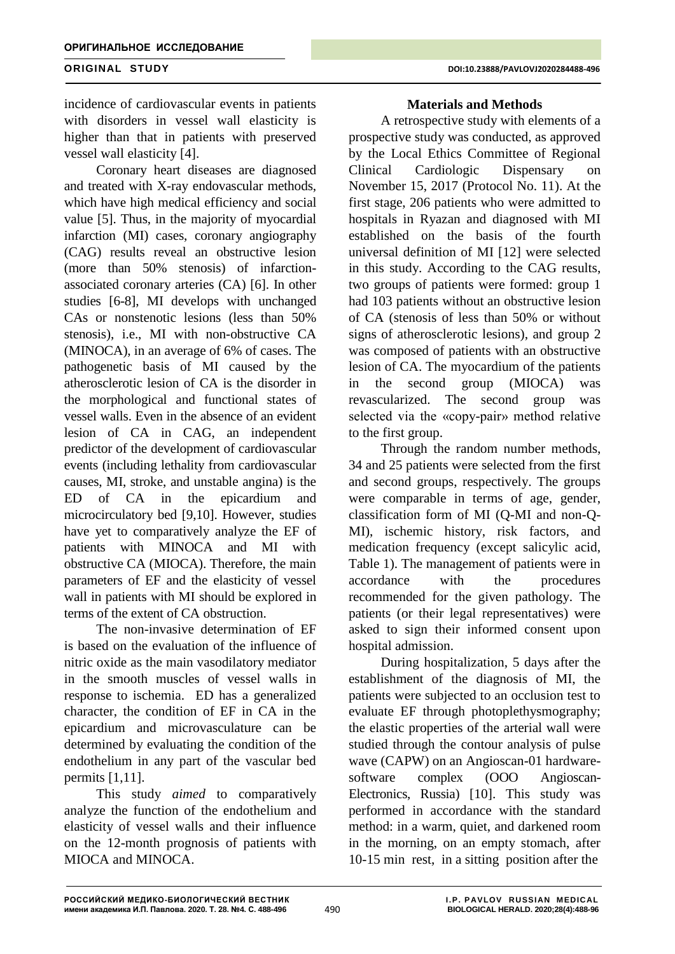incidence of cardiovascular events in patients with disorders in vessel wall elasticity is higher than that in patients with preserved vessel wall elasticity [4].

Coronary heart diseases are diagnosed and treated with X-ray endovascular methods, which have high medical efficiency and social value [5]. Thus, in the majority of myocardial infarction (MI) cases, coronary angiography (CAG) results reveal an obstructive lesion (more than 50% stenosis) of infarctionassociated coronary arteries (CA) [6]. In other studies [6-8], MI develops with unchanged CAs or nonstenotic lesions (less than 50% stenosis), i.e., MI with non-obstructive CA (MINOCA), in an average of 6% of cases. The pathogenetic basis of MI caused by the atherosclerotic lesion of CA is the disorder in the morphological and functional states of vessel walls. Even in the absence of an evident lesion of CA in CAG, an independent predictor of the development of cardiovascular events (including lethality from cardiovascular causes, MI, stroke, and unstable angina) is the ED of CA in the epicardium and microcirculatory bed [9,10]. However, studies have yet to comparatively analyze the EF of patients with MINOCA and MI with obstructive CA (MIOCA). Therefore, the main parameters of EF and the elasticity of vessel wall in patients with MI should be explored in terms of the extent of CA obstruction.

The non-invasive determination of EF is based on the evaluation of the influence of nitric oxide as the main vasodilatory mediator in the smooth muscles of vessel walls in response to ischemia. ED has a generalized character, the condition of EF in CA in the epicardium and microvasculature can be determined by evaluating the condition of the endothelium in any part of the vascular bed permits [1,11].

This study *aimed* to comparatively analyze the function of the endothelium and elasticity of vessel walls and their influence on the 12-month prognosis of patients with MIOCA and MINOCA.

## **Materials and Methods**

A retrospective study with elements of a prospective study was conducted, as approved by the Local Ethics Committee of Regional Clinical Cardiologic Dispensary on November 15, 2017 (Protocol No. 11). At the first stage, 206 patients who were admitted to hospitals in Ryazan and diagnosed with MI established on the basis of the fourth universal definition of MI [12] were selected in this study. According to the CAG results, two groups of patients were formed: group 1 had 103 patients without an obstructive lesion of CA (stenosis of less than 50% or without signs of atherosclerotic lesions), and group 2 was composed of patients with an obstructive lesion of CA. The myocardium of the patients in the second group (MIOCA) was revascularized. The second group was selected via the «copy-pair» method relative to the first group.

Through the random number methods, 34 and 25 patients were selected from the first and second groups, respectively. The groups were comparable in terms of age, gender, classification form of MI (Q-MI and non-Q-MI), ischemic history, risk factors, and medication frequency (except salicylic acid, Table 1). The management of patients were in accordance with the procedures recommended for the given pathology. The patients (or their legal representatives) were asked to sign their informed consent upon hospital admission.

During hospitalization, 5 days after the establishment of the diagnosis of MI, the patients were subjected to an occlusion test to evaluate EF through photoplethysmography; the elastic properties of the arterial wall were studied through the contour analysis of pulse wave (CAPW) on an Angioscan-01 hardwaresoftware complex (OOO Angioscan-Electronics, Russia) [10]. This study was performed in accordance with the standard method: in a warm, quiet, and darkened room in the morning, on an empty stomach, after 10-15 min rest, in a sitting position after the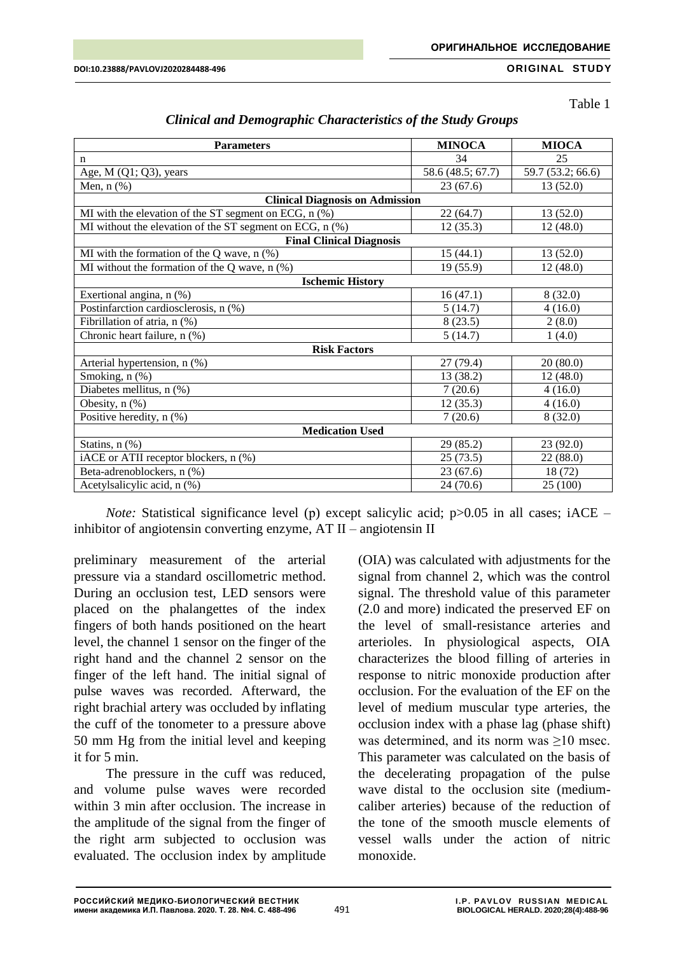Table 1

| <b>Parameters</b>                                                             | <b>MINOCA</b>     | <b>MIOCA</b>      |  |  |  |
|-------------------------------------------------------------------------------|-------------------|-------------------|--|--|--|
| $\mathbf n$                                                                   | 34                | 25                |  |  |  |
| Age, $M(Q1; Q3)$ , years                                                      | 58.6 (48.5; 67.7) | 59.7 (53.2; 66.6) |  |  |  |
| Men, $n$ $(\%)$                                                               | 23(67.6)          | 13(52.0)          |  |  |  |
| <b>Clinical Diagnosis on Admission</b>                                        |                   |                   |  |  |  |
| MI with the elevation of the ST segment on ECG, n (%)<br>13(52.0)<br>22(64.7) |                   |                   |  |  |  |
| MI without the elevation of the ST segment on ECG, n (%)                      | 12(35.3)          | 12(48.0)          |  |  |  |
| <b>Final Clinical Diagnosis</b>                                               |                   |                   |  |  |  |
| MI with the formation of the Q wave, $n$ (%)                                  | 15(44.1)          | 13(52.0)          |  |  |  |
| MI without the formation of the Q wave, $n$ (%)                               | 19(55.9)          | 12(48.0)          |  |  |  |
| <b>Ischemic History</b>                                                       |                   |                   |  |  |  |
| Exertional angina, n (%)                                                      | 16(47.1)          | 8(32.0)           |  |  |  |
| Postinfarction cardiosclerosis, n (%)                                         | 5(14.7)           | 4(16.0)           |  |  |  |
| Fibrillation of atria, n (%)                                                  | 8(23.5)           | 2(8.0)            |  |  |  |
| Chronic heart failure, n (%)                                                  | 5(14.7)           | 1(4.0)            |  |  |  |
| <b>Risk Factors</b>                                                           |                   |                   |  |  |  |
| Arterial hypertension, n (%)                                                  | 27(79.4)          | 20(80.0)          |  |  |  |
| Smoking, n (%)                                                                | 13 (38.2)         | 12 (48.0)         |  |  |  |
| Diabetes mellitus, n (%)                                                      | 7(20.6)           | 4(16.0)           |  |  |  |
| Obesity, n (%)                                                                | 12(35.3)          | 4(16.0)           |  |  |  |
| Positive heredity, n (%)                                                      | 7(20.6)           | 8(32.0)           |  |  |  |
| <b>Medication Used</b>                                                        |                   |                   |  |  |  |
| Statins, $n$ $(\%)$                                                           | 29(85.2)          | 23(92.0)          |  |  |  |
| iACE or ATII receptor blockers, n (%)                                         | 25(73.5)          | 22 (88.0)         |  |  |  |
| Beta-adrenoblockers, n (%)                                                    | 23(67.6)          | 18 (72)           |  |  |  |
| Acetylsalicylic acid, n (%)                                                   | 24 (70.6)         | 25 (100)          |  |  |  |

| <b>Clinical and Demographic Characteristics of the Study Groups</b> |  |  |  |  |
|---------------------------------------------------------------------|--|--|--|--|
|---------------------------------------------------------------------|--|--|--|--|

*Note:* Statistical significance level (p) except salicylic acid; p>0.05 in all cases; iACE – inhibitor of angiotensin converting enzyme, AT II – angiotensin II

preliminary measurement of the arterial pressure via a standard oscillometric method. During an occlusion test, LED sensors were placed on the phalangettes of the index fingers of both hands positioned on the heart level, the channel 1 sensor on the finger of the right hand and the channel 2 sensor on the finger of the left hand. The initial signal of pulse waves was recorded. Afterward, the right brachial artery was occluded by inflating the cuff of the tonometer to a pressure above 50 mm Hg from the initial level and keeping it for 5 min.

The pressure in the cuff was reduced, and volume pulse waves were recorded within 3 min after occlusion. The increase in the amplitude of the signal from the finger of the right arm subjected to occlusion was evaluated. The occlusion index by amplitude

(OIA) was calculated with adjustments for the signal from channel 2, which was the control signal. The threshold value of this parameter (2.0 and more) indicated the preserved EF on the level of small-resistance arteries and arterioles. In physiological aspects, OIA characterizes the blood filling of arteries in response to nitric monoxide production after occlusion. For the evaluation of the EF on the level of medium muscular type arteries, the occlusion index with a phase lag (phase shift) was determined, and its norm was >10 msec. This parameter was calculated on the basis of the decelerating propagation of the pulse wave distal to the occlusion site (mediumcaliber arteries) because of the reduction of the tone of the smooth muscle elements of vessel walls under the action of nitric monoxide.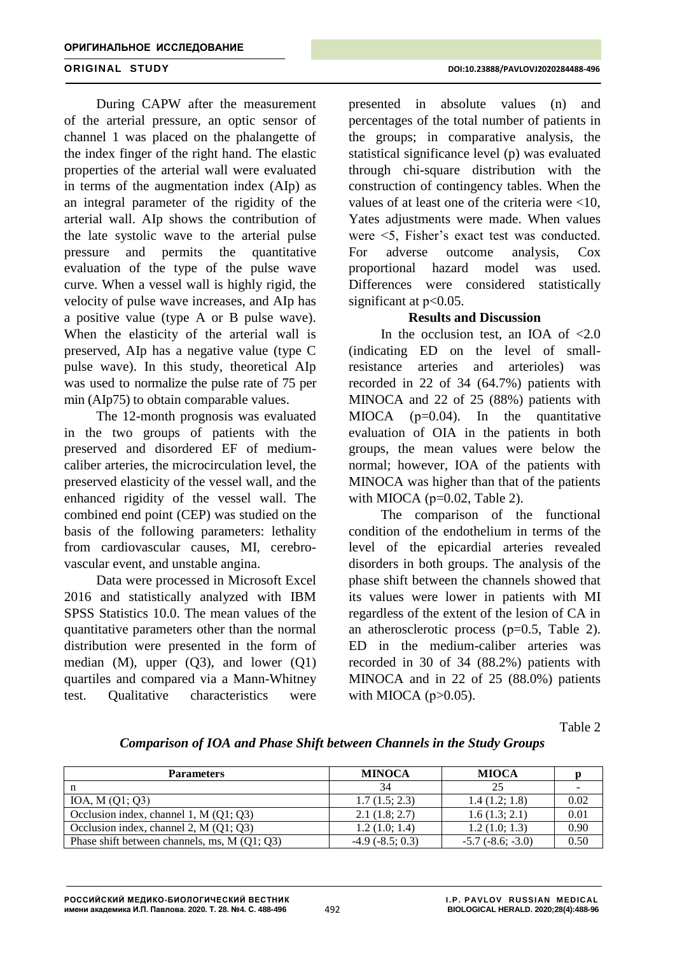During CAPW after the measurement of the arterial pressure, an optic sensor of channel 1 was placed on the phalangette of the index finger of the right hand. The elastic properties of the arterial wall were evaluated in terms of the augmentation index (AIp) as an integral parameter of the rigidity of the arterial wall. AIp shows the contribution of the late systolic wave to the arterial pulse pressure and permits the quantitative evaluation of the type of the pulse wave curve. When a vessel wall is highly rigid, the velocity of pulse wave increases, and AIp has a positive value (type A or B pulse wave). When the elasticity of the arterial wall is preserved, AIp has a negative value (type C pulse wave). In this study, theoretical AIp was used to normalize the pulse rate of 75 per min (AIp75) to obtain comparable values.

The 12-month prognosis was evaluated in the two groups of patients with the preserved and disordered EF of mediumcaliber arteries, the microcirculation level, the preserved elasticity of the vessel wall, and the enhanced rigidity of the vessel wall. The combined end point (CEP) was studied on the basis of the following parameters: lethality from cardiovascular causes, MI, cerebrovascular event, and unstable angina.

Data were processed in Microsoft Excel 2016 and statistically analyzed with IBM SPSS Statistics 10.0. The mean values of the quantitative parameters other than the normal distribution were presented in the form of median  $(M)$ , upper  $(Q3)$ , and lower  $(Q1)$ quartiles and compared via a Mann-Whitney test. Qualitative characteristics were

presented in absolute values (n) and percentages of the total number of patients in the groups; in comparative analysis, the statistical significance level (p) was evaluated through chi-square distribution with the construction of contingency tables. When the values of at least one of the criteria were <10, Yates adjustments were made. When values were <5, Fisher's exact test was conducted. For adverse outcome analysis, Cox proportional hazard model was used. Differences were considered statistically significant at  $p<0.05$ .

## **Results and Discussion**

In the occlusion test, an IOA of  $\langle 2.0 \rangle$ (indicating ED on the level of smallresistance arteries and arterioles) was recorded in 22 of 34 (64.7%) patients with MINOCA and 22 of 25 (88%) patients with MIOCA  $(p=0.04)$ . In the quantitative evaluation of OIA in the patients in both groups, the mean values were below the normal; however, IOA of the patients with MINOCA was higher than that of the patients with MIOCA ( $p=0.02$ , Table 2).

The comparison of the functional condition of the endothelium in terms of the level of the epicardial arteries revealed disorders in both groups. The analysis of the phase shift between the channels showed that its values were lower in patients with MI regardless of the extent of the lesion of CA in an atherosclerotic process  $(p=0.5,$  Table 2). ED in the medium-caliber arteries was recorded in 30 of 34 (88.2%) patients with MINOCA and in 22 of 25 (88.0%) patients with MIOCA  $(p>0.05)$ .

Table 2

|  | Comparison of IOA and Phase Shift between Channels in the Study Groups |  |  |  |  |
|--|------------------------------------------------------------------------|--|--|--|--|
|--|------------------------------------------------------------------------|--|--|--|--|

| <b>Parameters</b>                             | <b>MINOCA</b>        | <b>MIOCA</b>               |      |
|-----------------------------------------------|----------------------|----------------------------|------|
|                                               | 34                   | 25                         |      |
| IOA, M $(Q1; Q3)$                             | 1.7(1.5; 2.3)        | 1.4(1.2; 1.8)              | 0.02 |
| Occlusion index, channel 1, $M(Q1; Q3)$       | 2.1(1.8; 2.7)        | 1.6(1.3; 2.1)              | 0.01 |
| Occlusion index, channel 2, $M(Q1; Q3)$       | 1.2(1.0; 1.4)        | 1.2(1.0; 1.3)              | 0.90 |
| Phase shift between channels, ms, $M(Q1; Q3)$ | $-4.9$ $(-8.5; 0.3)$ | $-5.7$ ( $-8.6$ ; $-3.0$ ) | 0.50 |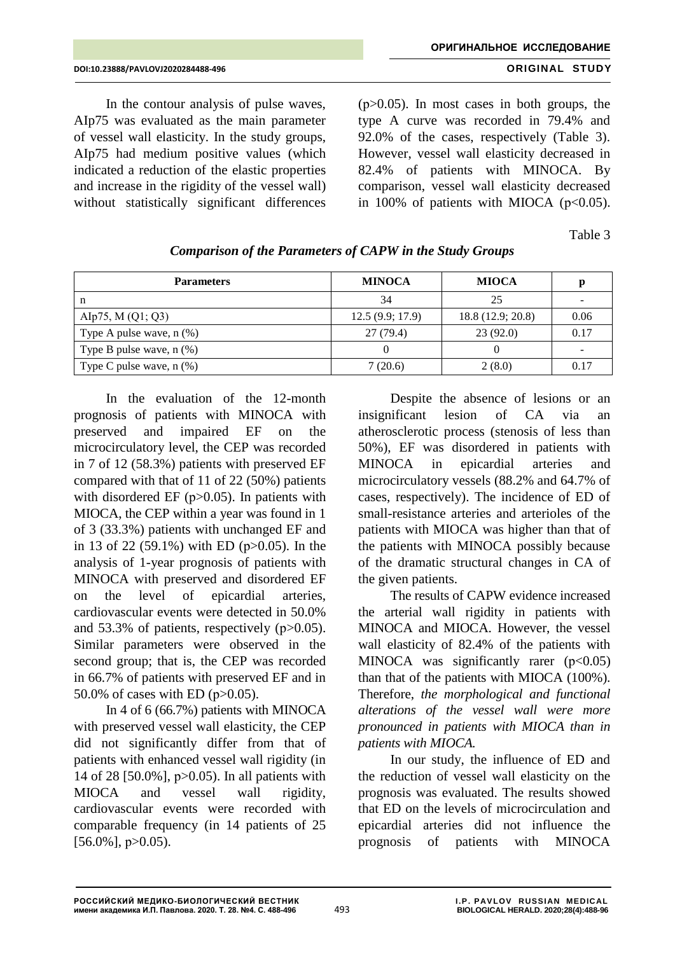In the contour analysis of pulse waves, AIp75 was evaluated as the main parameter of vessel wall elasticity. In the study groups, AIp75 had medium positive values (which indicated a reduction of the elastic properties and increase in the rigidity of the vessel wall) without statistically significant differences

 $(p>0.05)$ . In most cases in both groups, the type A curve was recorded in 79.4% and 92.0% of the cases, respectively (Table 3). However, vessel wall elasticity decreased in 82.4% of patients with MINOCA. By comparison, vessel wall elasticity decreased in 100% of patients with MIOCA  $(p<0.05)$ .

Table 3

| <b>Parameters</b>             | <b>MINOCA</b>   | <b>MIOCA</b>     | р    |
|-------------------------------|-----------------|------------------|------|
| n                             | 34              | 25               |      |
| Alp75, M $(Q1; Q3)$           | 12.5(9.9; 17.9) | 18.8(12.9; 20.8) | 0.06 |
| Type A pulse wave, $n$ $(\%)$ | 27(79.4)        | 23(92.0)         | 0.17 |
| Type B pulse wave, $n$ $(\%)$ |                 |                  | -    |
| Type C pulse wave, $n$ $(\%)$ | 7(20.6)         | 2(8.0)           | 0.17 |

# *Comparison of the Parameters of CAPW in the Study Groups*

In the evaluation of the 12-month prognosis of patients with MINOCA with preserved and impaired EF on the microcirculatory level, the CEP was recorded in 7 of 12 (58.3%) patients with preserved EF compared with that of 11 of 22 (50%) patients with disordered EF  $(p>0.05)$ . In patients with MIOCA, the CEP within a year was found in 1 of 3 (33.3%) patients with unchanged EF and in 13 of 22 (59.1%) with ED (р>0.05). In the analysis of 1-year prognosis of patients with MINOCA with preserved and disordered EF on the level of epicardial arteries, cardiovascular events were detected in 50.0% and 53.3% of patients, respectively  $(p>0.05)$ . Similar parameters were observed in the second group; that is, the CEP was recorded in 66.7% of patients with preserved EF and in 50.0% of cases with ED (p>0.05).

In 4 of 6 (66.7%) patients with MINOCA with preserved vessel wall elasticity, the CEP did not significantly differ from that of patients with enhanced vessel wall rigidity (in 14 of 28 [50.0%], p>0.05). In all patients with MIOCA and vessel wall rigidity, cardiovascular events were recorded with comparable frequency (in 14 patients of 25  $[56.0\%]$ , p $>0.05$ ).

Despite the absence of lesions or an insignificant lesion of CA via an atherosclerotic process (stenosis of less than 50%), EF was disordered in patients with MINOCA in epicardial arteries and microcirculatory vessels (88.2% and 64.7% of cases, respectively). The incidence of ED of small-resistance arteries and arterioles of the patients with MIOCA was higher than that of the patients with MINOCA possibly because of the dramatic structural changes in CA of the given patients.

The results of CAPW evidence increased the arterial wall rigidity in patients with MINOCA and MIOCA. However, the vessel wall elasticity of 82.4% of the patients with MINOCA was significantly rarer  $(p<0.05)$ than that of the patients with MIOCA (100%). Therefore, *the morphological and functional alterations of the vessel wall were more pronounced in patients with MIOCA than in patients with MIOCA.*

In our study, the influence of ED and the reduction of vessel wall elasticity on the prognosis was evaluated. The results showed that ED on the levels of microcirculation and epicardial arteries did not influence the prognosis of patients with MINOCA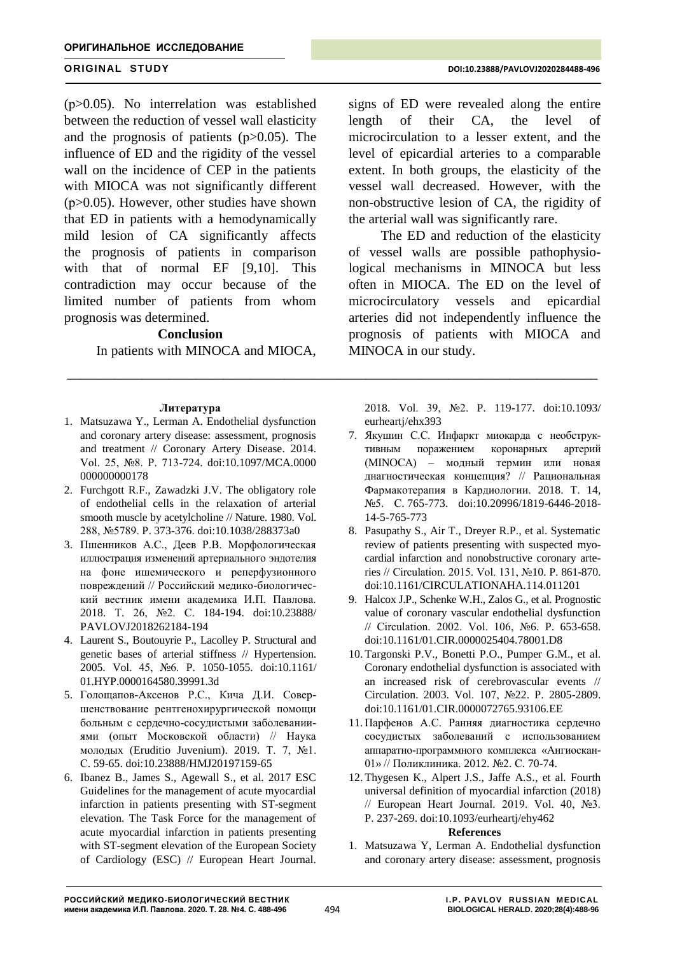(р>0.05). No interrelation was established between the reduction of vessel wall elasticity and the prognosis of patients  $(p>0.05)$ . The influence of ED and the rigidity of the vessel wall on the incidence of CEP in the patients with MIOCA was not significantly different  $(p>0.05)$ . However, other studies have shown that ED in patients with a hemodynamically mild lesion of CA significantly affects the prognosis of patients in comparison with that of normal EF [9,10]. This contradiction may occur because of the limited number of patients from whom prognosis was determined.

### **Conclusion**

In patients with MINOCA and MIOCA,

### **Литература**

- 1. Matsuzawa Y., Lerman A. Endothelial dysfunction and coronary artery disease: assessment, prognosis and treatment // [Coronary Artery Disease.](https://mayoclinic.pure.elsevier.com/en/publications/endothelial-dysfunction-and-coronary-artery-disease-assessment-pr) 2014. Vol. 25, №8. P. 713-724. doi:10.1097/MCA.0000 000000000178
- 2. Furchgott R.F., Zawadzki J.V. The obligatory role of endothelial cells in the relaxation of arterial smooth muscle by acetylcholine // Nature. 1980. Vol. 288, №5789. P. 373-376. doi:10.1038/288373a0
- 3. Пшенников А.С., Деев Р.В. Морфологическая иллюстрация изменений артериального эндотелия на фоне ишемического и реперфузионного повреждений // Российский медико-биологический вестник имени академика И.П. Павлова. 2018. Т. 26, №2. С. 184-194. doi[:10.23888/](https://doi.org/10.23888/PAVLOVJ2018262184-194) [PAVLOVJ2018262184-194](https://doi.org/10.23888/PAVLOVJ2018262184-194)
- 4. Laurent S., Boutouyrie P., Lacolley P. Structural and genetic bases of arterial stiffness // Hypertension. 2005. Vol. 45, №6. P. 1050-1055. do[i:10.1161/](https://doi.org/10.1161/01.HYP.0000164580.39991.3d) [01.HYP.0000164580.39991.3d](https://doi.org/10.1161/01.HYP.0000164580.39991.3d)
- 5. Голощапов-Аксенов Р.С., Кича Д.И. Совершенствование рентгенохирургической помощи больным с сердечно-сосудистыми заболеванииями (опыт Московской области) // Наука молодых (Eruditio Juvenium). 2019. Т. 7, №1. С. 59-65. doi:10.23888/HMJ20197159-65
- 6. Ibanez B., James S., Agewall S., et al. 2017 ESC Guidelines for the management of acute myocardial infarction in patients presenting with ST-segment elevation. The Task Force for the management of acute myocardial infarction in patients presenting with ST-segment elevation of the European Society of Cardiology (ESC) // European Heart Journal.

signs of ED were revealed along the entire length of their CA, the level of microcirculation to a lesser extent, and the level of epicardial arteries to a comparable extent. In both groups, the elasticity of the vessel wall decreased. However, with the non-obstructive lesion of CA, the rigidity of the arterial wall was significantly rare.

The ED and reduction of the elasticity of vessel walls are possible pathophysiological mechanisms in MINOCA but less often in MIOCA. The ED on the level of microcirculatory vessels and epicardial arteries did not independently influence the prognosis of patients with MIOCA and MINOCA in our study.

2018. Vol. 39, №2. P. 119-177. doi:10.1093/ eurheartj/ehx393

- 7. Якушин С.С. Инфаркт миокарда с необструктивным поражением коронарных артерий (МINОСА) – модный термин или новая диагностическая концепция? // Рациональная Фармакотерапия в Кардиологии. 2018. Т. 14, №5. С. 765-773. doi[:10.20996/1819-6446-2018-](https://doi.org/10.20996/1819-6446-2018-14-5-765-773) [14-5-765-773](https://doi.org/10.20996/1819-6446-2018-14-5-765-773)
- 8. Pasupathy S., Air T., Dreyer R.P., et al. Systematic review of patients presenting with suspected myocardial infarction and nonobstructive coronary arteries // Circulation. 2015. Vol. 131, №10. P. 861-870. doi:10.1161/CIRCULATIONAHA.114.011201
- 9. Halcox J.P., Schenke W.H., Zalos G., et al. Prognostic value of coronary vascular endothelial dysfunction // Circulation. 2002. Vol. 106, №6. P. 653-658. doi:10.1161/01.CIR.0000025404.78001.D8
- 10. Targonski P.V., Bonetti P.O., Pumper G.M., et al. Coronary endothelial dysfunction is associated with an increased risk of cerebrovascular events // Circulation. 2003. Vol. 107, №22. P. 2805-2809. doi[:10.1161/01.CIR.0000072765.93106.EE](https://doi.org/10.1161/01.cir.0000072765.93106.ee)
- 11. Парфенов А.С. Ранняя диагностика сердечно сосудистых заболеваний с использованием аппаратно-программного комплекса «Ангиоскан-01» // Поликлиника. 2012. №2. С. 70-74.
- 12. Thygesen K., Alpert J.S., Jaffe A.S., et al. Fourth universal definition of myocardial infarction (2018) // European Heart Journal. 2019. Vol. 40, №3. P. 237-269. doi:10.1093/eurheartj/ehy462

### **References**

1. Matsuzawa Y, Lerman A. Endothelial dysfunction and coronary artery disease: assessment, prognosis

\_\_\_\_\_\_\_\_\_\_\_\_\_\_\_\_\_\_\_\_\_\_\_\_\_\_\_\_\_\_\_\_\_\_\_\_\_\_\_\_\_\_\_\_\_\_\_\_\_\_\_\_\_\_\_\_\_\_\_\_\_\_\_\_\_\_\_\_\_\_\_\_\_\_\_\_\_\_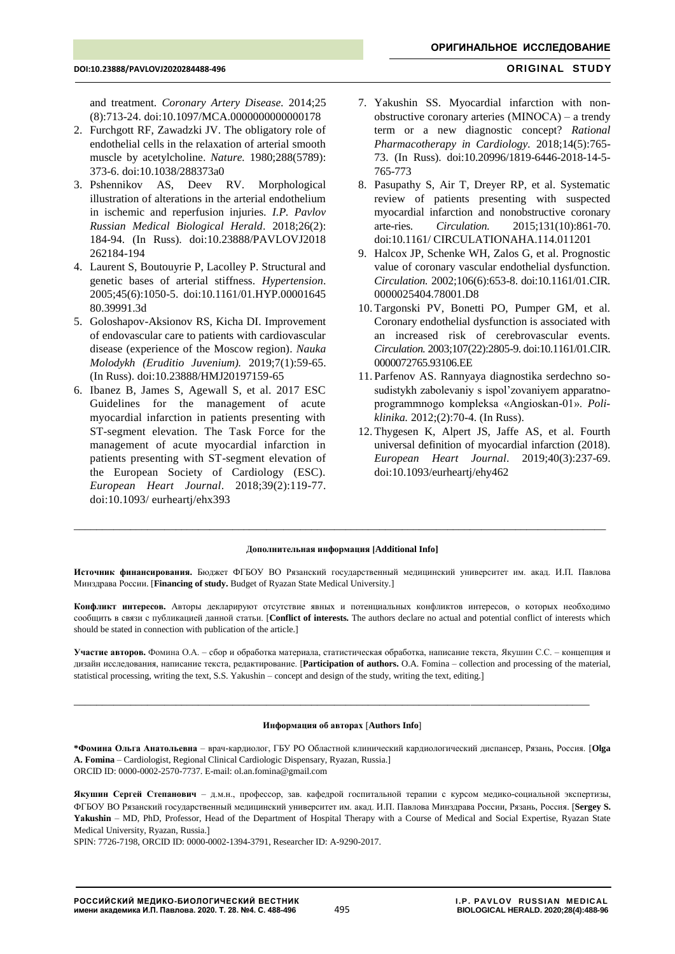and treatment. *[Coronary Artery Disease.](https://mayoclinic.pure.elsevier.com/en/publications/endothelial-dysfunction-and-coronary-artery-disease-assessment-pr)* 2014;25 (8):713-24. doi:10.1097/MCA.0000000000000178

- 2. Furchgott RF, Zawadzki JV. The obligatory role of endothelial cells in the relaxation of arterial smooth muscle by acetylcholine. *Nature.* 1980;288(5789): 373-6. doi:10.1038/288373a0
- 3. Pshennikov AS, Deev RV. Morphological illustration of alterations in the arterial endothelium in ischemic and reperfusion injuries*. I.P. Pavlov Russian Medical Biological Herald*. 2018;26(2): 184-94. (In Russ). doi[:10.23888/PAVLOVJ2018](https://doi.org/10.23888/PAVLOVJ2018262184-194) [262184-194](https://doi.org/10.23888/PAVLOVJ2018262184-194)
- 4. Laurent S, Boutouyrie P, Lacolley P. Structural and genetic bases of arterial stiffness. *Hypertension*. 2005;45(6):1050-5. doi[:10.1161/01.HYP.00001645](https://doi.org/10.1161/01.HYP.0000164580.39991.3d) [80.39991.3d](https://doi.org/10.1161/01.HYP.0000164580.39991.3d)
- 5. Goloshapov-Aksionov RS, Kicha DI. Improvement of endovascular care to patients with cardiovascular disease (experience of the Moscow region). *Nauka Molodykh (Eruditio Juvenium).* 2019;7(1):59-65. (In Russ). doi:10.23888/HMJ20197159-65
- 6. Ibanez B, James S, Agewall S, et al. 2017 ESC Guidelines for the management of acute myocardial infarction in patients presenting with ST-segment elevation. The Task Force for the management of acute myocardial infarction in patients presenting with ST-segment elevation of the European Society of Cardiology (ESC). *European Heart Journal*. 2018;39(2):119-77. doi:10.1093/ eurheartj/ehx393
- 7. Yakushin SS. Myocardial infarction with nonobstructive coronary arteries (МINОСА) – a trendy term or a new diagnostic concept? *Rational Pharmacotherapy in Cardiology.* 2018;14(5):765- 73. (In Russ). doi:10.20996/1819-6446-2018-14-5- 765-773
- 8. Pasupathy S, Air T, Dreyer RP, et al. Systematic review of patients presenting with suspected myocardial infarction and nonobstructive coronary arte-ries. *Circulation.* 2015;131(10):861-70. doi:10.1161/ CIRCULATIONAHA.114.011201
- 9. Halcox JP, Schenke WH, Zalos G, et al. Prognostic value of coronary vascular endothelial dysfunction. *Circulation.* 2002;106(6):653-8. doi:10.1161/01.CIR. 0000025404.78001.D8
- 10. Targonski PV, Bonetti PO, Pumper GM, et al. Coronary endothelial dysfunction is associated with an increased risk of cerebrovascular events. *Circulation.* 2003;107(22):2805-9. doi[:10.1161/01.CIR.](https://doi.org/10.1161/01.cir.0000072765.93106.ee) [0000072765.93106.EE](https://doi.org/10.1161/01.cir.0000072765.93106.ee)
- 11. Parfenov AS. Rannyaya diagnostika serdechno sosudistykh zabolevaniy s ispol'zovaniyem apparatnoprogrammnogo kompleksa «Angioskan-01». *Poliklinika.* 2012;(2):70-4. (In Russ).
- 12. Thygesen K, Alpert JS, Jaffe AS, et al. Fourth universal definition of myocardial infarction (2018). *European Heart Journal*. 2019;40(3):237-69. doi:10.1093/eurheartj/ehy462

### **Дополнительная информация [Additional Info]**

\_\_\_\_\_\_\_\_\_\_\_\_\_\_\_\_\_\_\_\_\_\_\_\_\_\_\_\_\_\_\_\_\_\_\_\_\_\_\_\_\_\_\_\_\_\_\_\_\_\_\_\_\_\_\_\_\_\_\_\_\_\_\_\_\_\_\_\_\_\_\_\_\_\_\_\_\_\_\_\_\_\_\_\_\_\_\_\_\_\_\_\_\_\_

**Источник финансирования.** Бюджет ФГБОУ ВО Рязанский государственный медицинский университет им. акад. И.П. Павлова Минздрава России. [**Financing of study.** Budget of Ryazan State Medical University.]

**Конфликт интересов.** Авторы декларируют отсутствие явных и потенциальных конфликтов интересов, о которых необходимо сообщить в связи с публикацией данной статьи. [**Conflict of interests.** The authors declare no actual and potential conflict of interests which should be stated in connection with publication of the article.]

**Участие авторов.** Фомина О.А. – сбор и обработка материала, статистическая обработка, написание текста, Якушин С.С. – концепция и дизайн исследования, написание текста, редактирование. [**Participation of authors.** O.A. Fomina – collection and processing of the material, statistical processing, writing the text, S.S. Yakushin – concept and design of the study, writing the text, editing.]

### **Информация об авторах Authors Info**

 $\_$  ,  $\_$  ,  $\_$  ,  $\_$  ,  $\_$  ,  $\_$  ,  $\_$  ,  $\_$  ,  $\_$  ,  $\_$  ,  $\_$  ,  $\_$  ,  $\_$  ,  $\_$  ,  $\_$  ,  $\_$  ,  $\_$  ,  $\_$  ,  $\_$  ,  $\_$  ,  $\_$  ,  $\_$  ,  $\_$  ,  $\_$  ,  $\_$  ,  $\_$  ,  $\_$  ,  $\_$  ,  $\_$  ,  $\_$  ,  $\_$  ,  $\_$  ,  $\_$  ,  $\_$  ,  $\_$  ,  $\_$  ,  $\_$  ,

**\*Фомина Ольга Анатольевна** – врач-кардиолог, ГБУ РО Областной клинический кардиологический диспансер, Рязань, Россия. [**Olga A. Fomina** – Cardiologist, Regional Clinical Cardiologic Dispensary, Ryazan, Russia.] [ORCID ID: 0000-0002-2570-7737.](mailto:ORCID%20ID:%200000-0002-2570-7737) E-mail[: ol.an.fomina@gmail.com](mailto:ol.an.fomina@gmail.com)

**Якушин Сергей Степанович** – д.м.н., профессор, зав. кафедрой госпитальной терапии с курсом медико-социальной экспертизы, ФГБОУ ВО Рязанский государственный медицинский университет им. акад. И.П. Павлова Минздрава России, Рязань, Россия. **Sergey S.**  Yakushin - MD, PhD, Professor, Head of the Department of Hospital Therapy with a Course of Medical and Social Expertise, Ryazan State Medical University, Ryazan, Russia.

SPIN: 7726-7198, ORCID ID: [0000-0002-1394-3791,](http://orcid.org/0000-0002-1394-3791) Researcher ID: A-9290-2017.